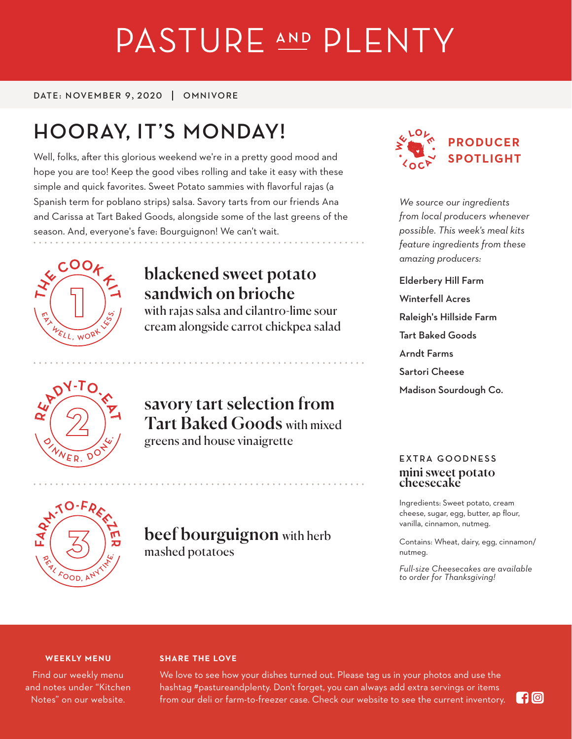# PASTURE AND PLENTY

DATE: NOVEMBER 9, 2020 | OMNIVORE

# **HOORAY, IT'S MONDAY!**

Well, folks, after this glorious weekend we're in a pretty good mood and hope you are too! Keep the good vibes rolling and take it easy with these simple and quick favorites. Sweet Potato sammies with flavorful rajas (a Spanish term for poblano strips) salsa. Savory tarts from our friends Ana and Carissa at Tart Baked Goods, alongside some of the last greens of the season. And, everyone's fave: Bourguignon! We can't wait.



# blackened sweet potato sandwich on brioche

with rajas salsa and cilantro-lime sour cream alongside carrot chickpea salad



### savory tart selection from Tart Baked Goods with mixed greens and house vinaigrette

beef bourguignon with herb



*We source our ingredients from local producers whenever possible. This week's meal kits feature ingredients from these amazing producers:*

Elderbery Hill Farm Winterfell Acres Raleigh's Hillside Farm Tart Baked Goods Arndt Farms Sartori Cheese Madison Sourdough Co.

# **EXTRA GOODNESS** mini sweet potato cheesecake

Ingredients: Sweet potato, cream cheese, sugar, egg, butter, ap flour, vanilla, cinnamon, nutmeg.

Contains: Wheat, dairy, egg, cinnamon/ nutmeg.

*Full-size Cheesecakes are available to order for Thanksgiving!*

#### **WEEKLY MENU**

**<sup>R</sup>EA<sup>L</sup> <sup>F</sup>OOD, <sup>A</sup>NY<sup>T</sup> <sup>I</sup> <sup>M</sup> <sup>E</sup>.**

**<sup>R</sup>EA<sup>L</sup> <sup>F</sup>OOD, <sup>A</sup>NY<sup>T</sup> <sup>I</sup> <sup>M</sup> <sup>E</sup>.**

**<sup>R</sup>EA<sup>L</sup> <sup>F</sup>OOD, <sup>A</sup>NY<sup>T</sup> <sup>I</sup> <sup>M</sup> <sup>E</sup>.**

**ARM-TO-FREE<sup>Z</sup>**

**ARM-TO-FREE<sup>Z</sup> F**

**ARM-TO-FREE<sup>Z</sup>**

**E**  $\iota$ 

**E R**

**۱۳۱ R**

**F**

Find our weekly menu and notes under "Kitchen Notes" on our website.

#### **SHARE THE LOVE**

mashed potatoes

We love to see how your dishes turned out. Please tag us in your photos and use the hashtag #pastureandplenty. Don't forget, you can always add extra servings or items from our deli or farm-to-freezer case. Check our website to see the current inventory.